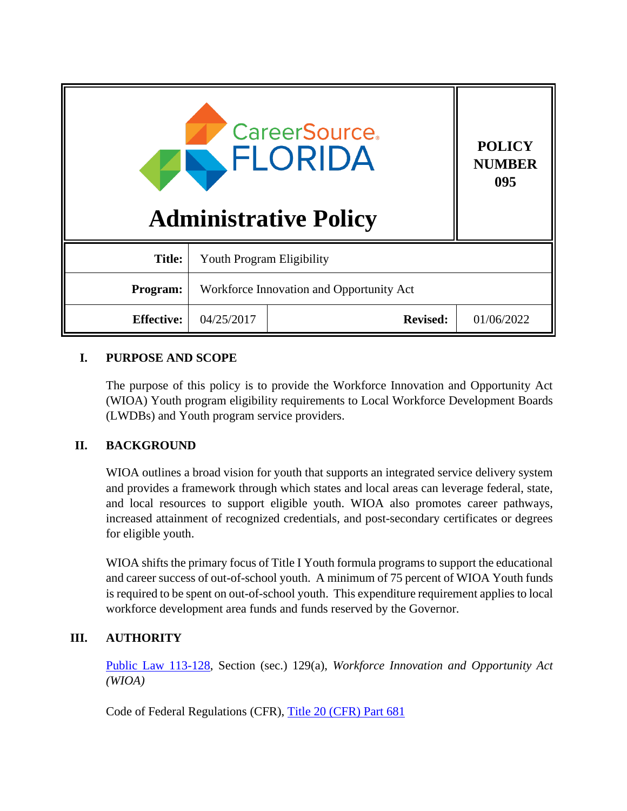| <b>CareerSource.</b><br>FLORIDA<br><b>Administrative Policy</b> |                                          |                 | <b>POLICY</b><br><b>NUMBER</b><br>095 |
|-----------------------------------------------------------------|------------------------------------------|-----------------|---------------------------------------|
| <b>Title:</b>                                                   | <b>Youth Program Eligibility</b>         |                 |                                       |
| Program:                                                        | Workforce Innovation and Opportunity Act |                 |                                       |
| <b>Effective:</b>                                               | 04/25/2017                               | <b>Revised:</b> | 01/06/2022                            |

# **I. PURPOSE AND SCOPE**

The purpose of this policy is to provide the Workforce Innovation and Opportunity Act (WIOA) Youth program eligibility requirements to Local Workforce Development Boards (LWDBs) and Youth program service providers.

# **II. BACKGROUND**

WIOA outlines a broad vision for youth that supports an integrated service delivery system and provides a framework through which states and local areas can leverage federal, state, and local resources to support eligible youth. WIOA also promotes career pathways, increased attainment of recognized credentials, and post-secondary certificates or degrees for eligible youth.

WIOA shifts the primary focus of Title I Youth formula programs to support the educational and career success of out-of-school youth. A minimum of 75 percent of WIOA Youth funds is required to be spent on out-of-school youth. This expenditure requirement applies to local workforce development area funds and funds reserved by the Governor.

# **III. AUTHORITY**

Public Law [113-128,](https://www.gpo.gov/fdsys/pkg/PLAW-113publ128/pdf/PLAW-113publ128.pdf) Section (sec.) 129(a), *Workforce Innovation and Opportunity Act (WIOA)*

Code of Federal Regulations (CFR), [Title 20 \(CFR\) Part 681](https://www.law.cornell.edu/cfr/text/20/part-681)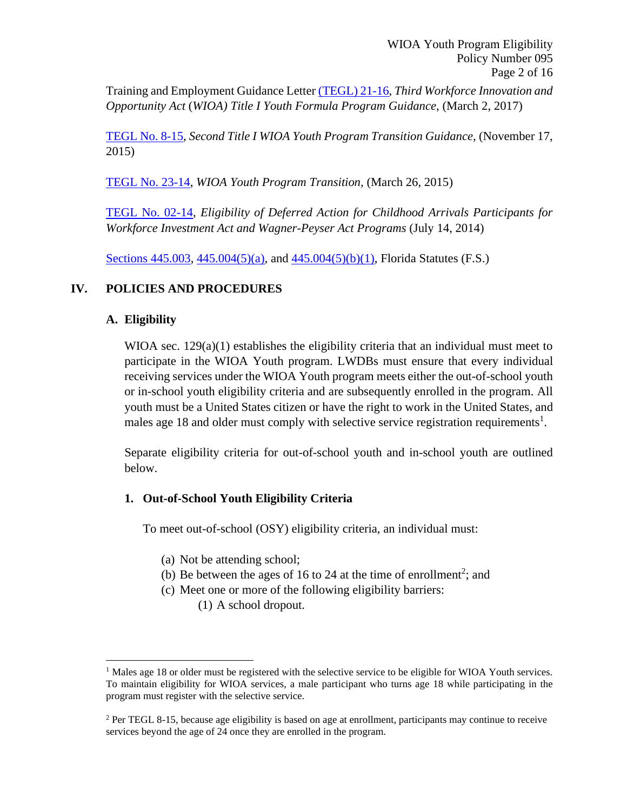Training and Employment Guidance Letter [\(TEGL\) 21-16,](https://wdr.doleta.gov/directives/corr_doc.cfm?DOCN=7159) *Third Workforce Innovation and Opportunity Act* (*WIOA) Title I Youth Formula Program Guidance,* (March 2, 2017)

[TEGL No. 8-15,](https://wdr.doleta.gov/directives/corr_doc.cfm?docn=6073) *Second Title I WIOA Youth Program Transition Guidance,* (November 17, 2015)

[TEGL No. 23-14,](https://wdr.doleta.gov/directives/corr_doc.cfm?DOCN=4244) *WIOA Youth Program Transition,* (March 26, 2015)

[TEGL No. 02-14,](https://wdr.doleta.gov/directives/corr_doc.cfm?docn=7233) *Eligibility of Deferred Action for Childhood Arrivals Participants for Workforce Investment Act and Wagner-Peyser Act Programs* (July 14, 2014)

Sections [445.003,](http://www.leg.state.fl.us/Statutes/index.cfm?App_mode=Display_Statute&Search_String=&URL=0400-0499/0445/Sections/0445.003.html) [445.004\(5\)\(a\),](http://www.leg.state.fl.us/statutes/index.cfm?mode=View%20Statutes&SubMenu=1&App_mode=Display_Statute&Search_String=445.004&URL=0400-0499/0445/Sections/0445.004.html) and [445.004\(5\)\(b\)\(1\),](http://www.leg.state.fl.us/statutes/index.cfm?mode=View%20Statutes&SubMenu=1&App_mode=Display_Statute&Search_String=445.004&URL=0400-0499/0445/Sections/0445.004.html) Florida Statutes (F.S.)

## **IV. POLICIES AND PROCEDURES**

## **A. Eligibility**

WIOA sec.  $129(a)(1)$  establishes the eligibility criteria that an individual must meet to participate in the WIOA Youth program. LWDBs must ensure that every individual receiving services under the WIOA Youth program meets either the out-of-school youth or in-school youth eligibility criteria and are subsequently enrolled in the program. All youth must be a United States citizen or have the right to work in the United States, and males age 18 and older must comply with selective service registration requirements<sup>1</sup>.

Separate eligibility criteria for out-of-school youth and in-school youth are outlined below.

# **1. Out-of-School Youth Eligibility Criteria**

To meet out-of-school (OSY) eligibility criteria, an individual must:

- (a) Not be attending school;
- (b) Be between the ages of 16 to 24 at the time of enrollment<sup>2</sup>; and
- (c) Meet one or more of the following eligibility barriers:
	- (1) A school dropout.

<sup>&</sup>lt;sup>1</sup> Males age 18 or older must be registered with the selective service to be eligible for WIOA Youth services. To maintain eligibility for WIOA services, a male participant who turns age 18 while participating in the program must register with the selective service.

<sup>&</sup>lt;sup>2</sup> Per TEGL 8-15, because age eligibility is based on age at enrollment, participants may continue to receive services beyond the age of 24 once they are enrolled in the program.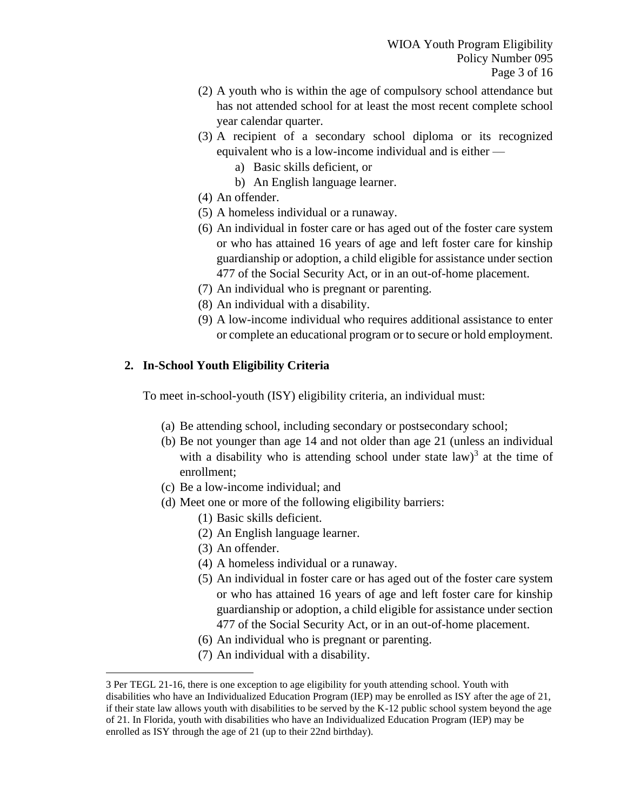- (2) A youth who is within the age of compulsory school attendance but has not attended school for at least the most recent complete school year calendar quarter.
- (3) A recipient of a secondary school diploma or its recognized equivalent who is a low-income individual and is either
	- a) Basic skills deficient, or
	- b) An English language learner.
- (4) An offender.
- (5) A homeless individual or a runaway.
- (6) An individual in foster care or has aged out of the foster care system or who has attained 16 years of age and left foster care for kinship guardianship or adoption, a child eligible for assistance under section 477 of the Social Security Act, or in an out-of-home placement.
- (7) An individual who is pregnant or parenting.
- (8) An individual with a disability.
- (9) A low-income individual who requires additional assistance to enter or complete an educational program or to secure or hold employment.

## **2. In-School Youth Eligibility Criteria**

To meet in-school-youth (ISY) eligibility criteria, an individual must:

- (a) Be attending school, including secondary or postsecondary school;
- (b) Be not younger than age 14 and not older than age 21 (unless an individual with a disability who is attending school under state law)<sup>3</sup> at the time of enrollment;
- (c) Be a low-income individual; and
- (d) Meet one or more of the following eligibility barriers:
	- (1) Basic skills deficient.
	- (2) An English language learner.
	- (3) An offender.
	- (4) A homeless individual or a runaway.
	- (5) An individual in foster care or has aged out of the foster care system or who has attained 16 years of age and left foster care for kinship guardianship or adoption, a child eligible for assistance under section 477 of the Social Security Act, or in an out-of-home placement.
	- (6) An individual who is pregnant or parenting.
	- (7) An individual with a disability.

<sup>3</sup> Per TEGL 21-16, there is one exception to age eligibility for youth attending school. Youth with disabilities who have an Individualized Education Program (IEP) may be enrolled as ISY after the age of 21, if their state law allows youth with disabilities to be served by the K-12 public school system beyond the age of 21. In Florida, youth with disabilities who have an Individualized Education Program (IEP) may be enrolled as ISY through the age of 21 (up to their 22nd birthday).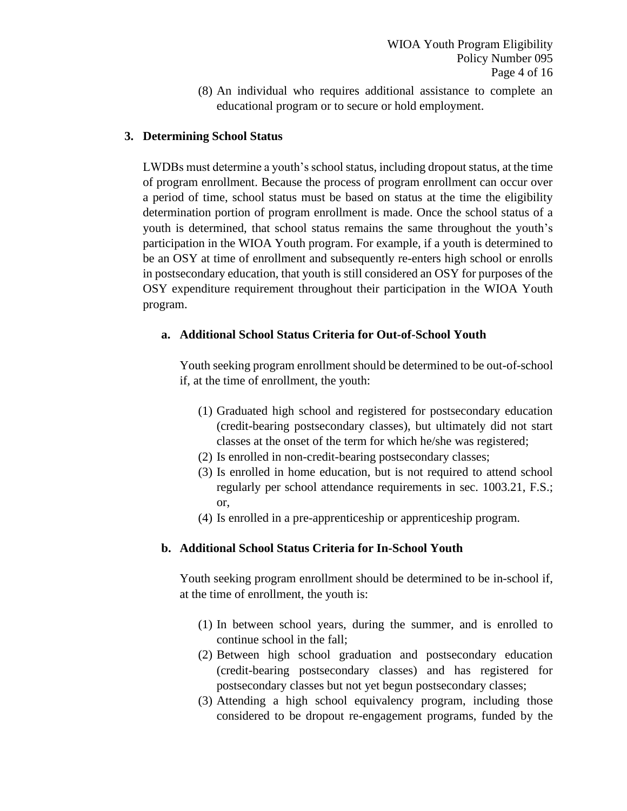(8) An individual who requires additional assistance to complete an educational program or to secure or hold employment.

### **3. Determining School Status**

LWDBs must determine a youth's school status, including dropout status, at the time of program enrollment. Because the process of program enrollment can occur over a period of time, school status must be based on status at the time the eligibility determination portion of program enrollment is made. Once the school status of a youth is determined, that school status remains the same throughout the youth's participation in the WIOA Youth program. For example, if a youth is determined to be an OSY at time of enrollment and subsequently re-enters high school or enrolls in postsecondary education, that youth is still considered an OSY for purposes of the OSY expenditure requirement throughout their participation in the WIOA Youth program.

#### **a. Additional School Status Criteria for Out-of-School Youth**

Youth seeking program enrollment should be determined to be out-of-school if, at the time of enrollment, the youth:

- (1) Graduated high school and registered for postsecondary education (credit-bearing postsecondary classes), but ultimately did not start classes at the onset of the term for which he/she was registered;
- (2) Is enrolled in non-credit-bearing postsecondary classes;
- (3) Is enrolled in home education, but is not required to attend school regularly per school attendance requirements in sec. 1003.21, F.S.; or,
- (4) Is enrolled in a pre-apprenticeship or apprenticeship program.

## **b. Additional School Status Criteria for In-School Youth**

Youth seeking program enrollment should be determined to be in-school if, at the time of enrollment, the youth is:

- (1) In between school years, during the summer, and is enrolled to continue school in the fall;
- (2) Between high school graduation and postsecondary education (credit-bearing postsecondary classes) and has registered for postsecondary classes but not yet begun postsecondary classes;
- (3) Attending a high school equivalency program, including those considered to be dropout re-engagement programs, funded by the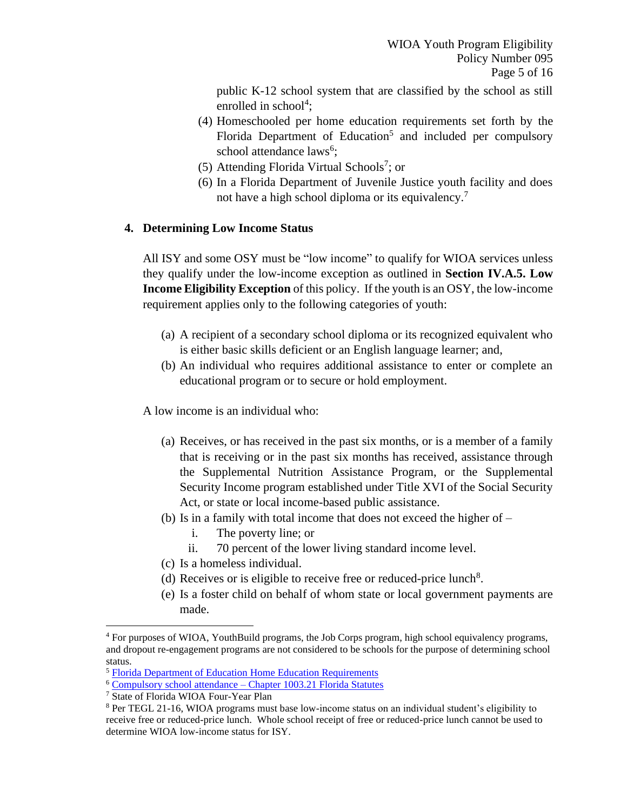public K-12 school system that are classified by the school as still enrolled in school<sup>4</sup>;

- (4) Homeschooled per home education requirements set forth by the Florida Department of Education<sup>5</sup> and included per compulsory school attendance laws<sup>6</sup>;
- (5) Attending Florida Virtual Schools<sup>7</sup>; or
- (6) In a Florida Department of Juvenile Justice youth facility and does not have a high school diploma or its equivalency.<sup>7</sup>

## **4. Determining Low Income Status**

All ISY and some OSY must be "low income" to qualify for WIOA services unless they qualify under the low-income exception as outlined in **Section IV.A.5. Low Income Eligibility Exception** of this policy. If the youth is an OSY, the low-income requirement applies only to the following categories of youth:

- (a) A recipient of a secondary school diploma or its recognized equivalent who is either basic skills deficient or an English language learner; and,
- (b) An individual who requires additional assistance to enter or complete an educational program or to secure or hold employment.

A low income is an individual who:

- (a) Receives, or has received in the past six months, or is a member of a family that is receiving or in the past six months has received, assistance through the Supplemental Nutrition Assistance Program, or the Supplemental Security Income program established under Title XVI of the Social Security Act, or state or local income-based public assistance.
- (b) Is in a family with total income that does not exceed the higher of
	- i. The poverty line; or
	- ii. 70 percent of the lower living standard income level.
- (c) Is a homeless individual.
- (d) Receives or is eligible to receive free or reduced-price lunch<sup>8</sup>.
- (e) Is a foster child on behalf of whom state or local government payments are made.

<sup>4</sup> For purposes of WIOA, YouthBuild programs, the Job Corps program, high school equivalency programs, and dropout re-engagement programs are not considered to be schools for the purpose of determining school status.

<sup>5</sup> [Florida Department of Education Home Education Requirements](http://www.fldoe.org/schools/school-choice/other-school-choice-options/home-edu/requirements.stml)

<sup>6</sup> Compulsory school attendance – [Chapter 1003.21 Florida Statutes](http://www.leg.state.fl.us/Statutes/index.cfm?App_mode=Display_Statute&Search_String=&URL=1000-1099/1003/Sections/1003.21.html)

<sup>7</sup> State of Florida WIOA Four-Year Plan

<sup>8</sup> Per TEGL 21-16, WIOA programs must base low-income status on an individual student's eligibility to receive free or reduced-price lunch. Whole school receipt of free or reduced-price lunch cannot be used to determine WIOA low-income status for ISY.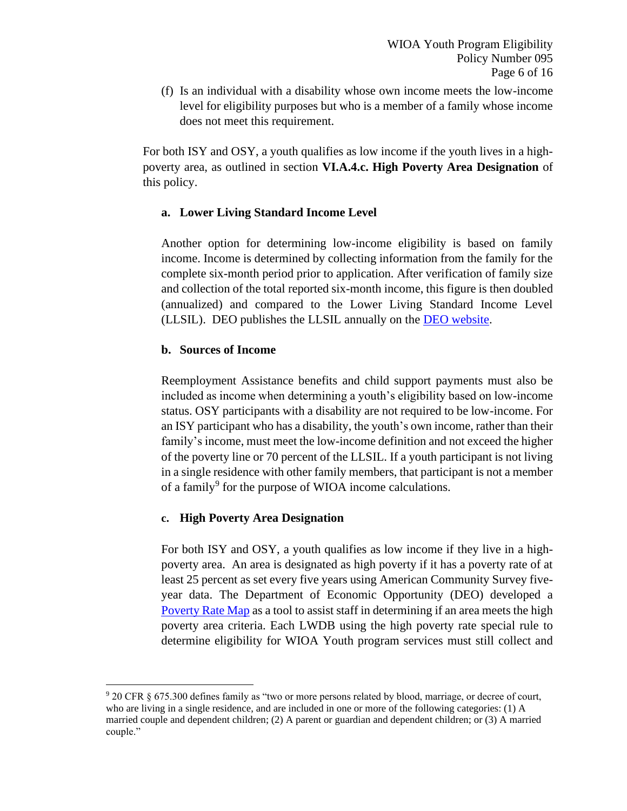(f) Is an individual with a disability whose own income meets the low-income level for eligibility purposes but who is a member of a family whose income does not meet this requirement.

For both ISY and OSY, a youth qualifies as low income if the youth lives in a highpoverty area, as outlined in section **VI.A.4.c. High Poverty Area Designation** of this policy.

## **a. Lower Living Standard Income Level**

Another option for determining low-income eligibility is based on family income. Income is determined by collecting information from the family for the complete six-month period prior to application. After verification of family size and collection of the total reported six-month income, this figure is then doubled (annualized) and compared to the Lower Living Standard Income Level (LLSIL). DEO publishes the LLSIL annually on the DEO [website.](http://floridajobs.org/local-workforce-development-board-resources/policy-and-guidance/communiques)

## **b. Sources of Income**

Reemployment Assistance benefits and child support payments must also be included as income when determining a youth's eligibility based on low-income status. OSY participants with a disability are not required to be low-income. For an ISY participant who has a disability, the youth's own income, rather than their family's income, must meet the low-income definition and not exceed the higher of the poverty line or 70 percent of the LLSIL. If a youth participant is not living in a single residence with other family members, that participant is not a member of a family<sup>9</sup> for the purpose of WIOA income calculations.

# **c. High Poverty Area Designation**

For both ISY and OSY, a youth qualifies as low income if they live in a highpoverty area. An area is designated as high poverty if it has a poverty rate of at least 25 percent as set every five years using American Community Survey fiveyear data. The Department of Economic Opportunity (DEO) developed a [Poverty Rate Map](https://deolmsgis.maps.arcgis.com/apps/webappviewer/index.html?id=4e55cb961a5946b892bc94a0917e4978) as a tool to assist staff in determining if an area meets the high poverty area criteria. Each LWDB using the high poverty rate special rule to determine eligibility for WIOA Youth program services must still collect and

<sup>9</sup> 20 CFR § 675.300 defines family as "two or more persons related by blood, marriage, or decree of court, who are living in a single residence, and are included in one or more of the following categories: (1) A married couple and dependent children; (2) A parent or guardian and dependent children; or (3) A married couple."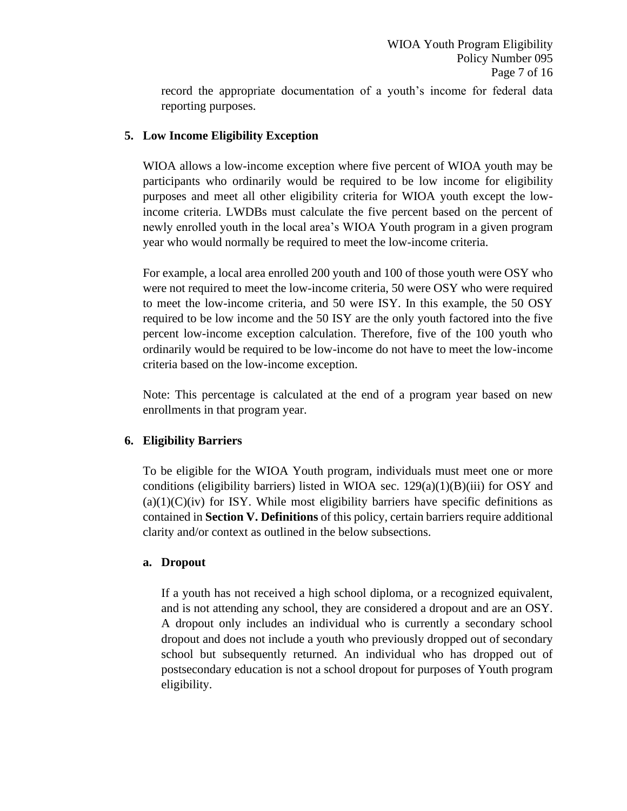reporting purposes.

## **5. Low Income Eligibility Exception**

WIOA allows a low-income exception where five percent of WIOA youth may be participants who ordinarily would be required to be low income for eligibility purposes and meet all other eligibility criteria for WIOA youth except the lowincome criteria. LWDBs must calculate the five percent based on the percent of newly enrolled youth in the local area's WIOA Youth program in a given program year who would normally be required to meet the low-income criteria.

For example, a local area enrolled 200 youth and 100 of those youth were OSY who were not required to meet the low-income criteria, 50 were OSY who were required to meet the low-income criteria, and 50 were ISY. In this example, the 50 OSY required to be low income and the 50 ISY are the only youth factored into the five percent low-income exception calculation. Therefore, five of the 100 youth who ordinarily would be required to be low-income do not have to meet the low-income criteria based on the low-income exception.

Note: This percentage is calculated at the end of a program year based on new enrollments in that program year.

# **6. Eligibility Barriers**

To be eligible for the WIOA Youth program, individuals must meet one or more conditions (eligibility barriers) listed in WIOA sec.  $129(a)(1)(B)(iii)$  for OSY and  $(a)(1)(C)(iv)$  for ISY. While most eligibility barriers have specific definitions as contained in **Section V. Definitions** of this policy, certain barriers require additional clarity and/or context as outlined in the below subsections.

## **a. Dropout**

If a youth has not received a high school diploma, or a recognized equivalent, and is not attending any school, they are considered a dropout and are an OSY. A dropout only includes an individual who is currently a secondary school dropout and does not include a youth who previously dropped out of secondary school but subsequently returned. An individual who has dropped out of postsecondary education is not a school dropout for purposes of Youth program eligibility.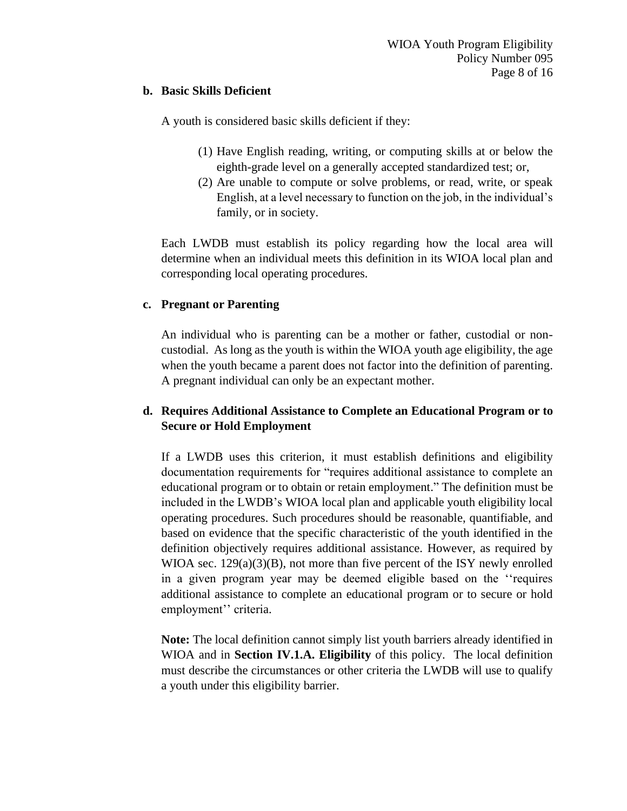#### **b. Basic Skills Deficient**

A youth is considered basic skills deficient if they:

- (1) Have English reading, writing, or computing skills at or below the eighth-grade level on a generally accepted standardized test; or,
- (2) Are unable to compute or solve problems, or read, write, or speak English, at a level necessary to function on the job, in the individual's family, or in society.

Each LWDB must establish its policy regarding how the local area will determine when an individual meets this definition in its WIOA local plan and corresponding local operating procedures.

## **c. Pregnant or Parenting**

An individual who is parenting can be a mother or father, custodial or noncustodial. As long as the youth is within the WIOA youth age eligibility, the age when the youth became a parent does not factor into the definition of parenting. A pregnant individual can only be an expectant mother.

## **d. Requires Additional Assistance to Complete an Educational Program or to Secure or Hold Employment**

If a LWDB uses this criterion, it must establish definitions and eligibility documentation requirements for "requires additional assistance to complete an educational program or to obtain or retain employment." The definition must be included in the LWDB's WIOA local plan and applicable youth eligibility local operating procedures. Such procedures should be reasonable, quantifiable, and based on evidence that the specific characteristic of the youth identified in the definition objectively requires additional assistance. However, as required by WIOA sec.  $129(a)(3)(B)$ , not more than five percent of the ISY newly enrolled in a given program year may be deemed eligible based on the ''requires additional assistance to complete an educational program or to secure or hold employment'' criteria.

**Note:** The local definition cannot simply list youth barriers already identified in WIOA and in **Section IV.1.A. Eligibility** of this policy. The local definition must describe the circumstances or other criteria the LWDB will use to qualify a youth under this eligibility barrier.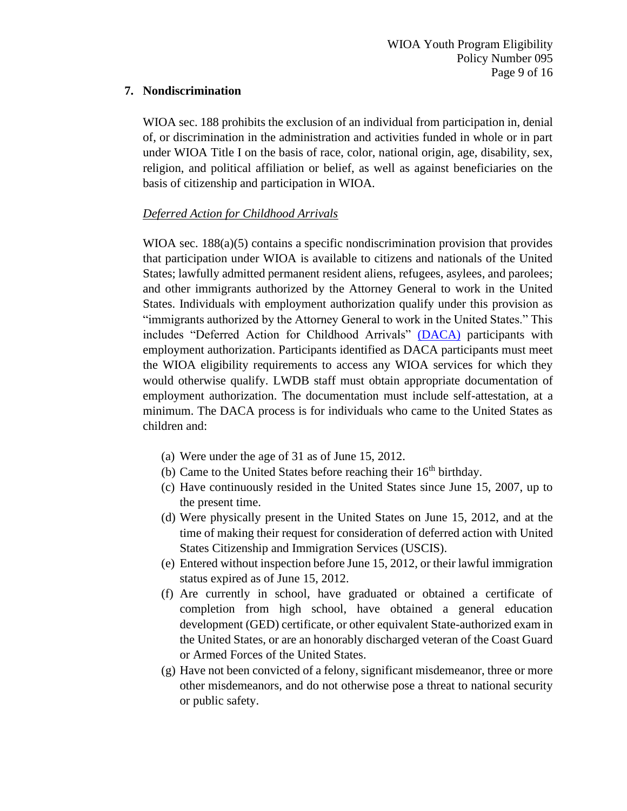#### **7. Nondiscrimination**

WIOA sec. 188 prohibits the exclusion of an individual from participation in, denial of, or discrimination in the administration and activities funded in whole or in part under WIOA Title I on the basis of race, color, national origin, age, disability, sex, religion, and political affiliation or belief, as well as against beneficiaries on the basis of citizenship and participation in WIOA.

## *Deferred Action for Childhood Arrivals*

WIOA sec. 188(a)(5) contains a specific nondiscrimination provision that provides that participation under WIOA is available to citizens and nationals of the United States; lawfully admitted permanent resident aliens, refugees, asylees, and parolees; and other immigrants authorized by the Attorney General to work in the United States. Individuals with employment authorization qualify under this provision as "immigrants authorized by the Attorney General to work in the United States." This includes "Deferred Action for Childhood Arrivals" [\(DACA\)](https://wdr.doleta.gov/directives/corr_doc.cfm?docn=7233) participants with employment authorization. Participants identified as DACA participants must meet the WIOA eligibility requirements to access any WIOA services for which they would otherwise qualify. LWDB staff must obtain appropriate documentation of employment authorization. The documentation must include self-attestation, at a minimum. The DACA process is for individuals who came to the United States as children and:

- (a) Were under the age of 31 as of June 15, 2012.
- (b) Came to the United States before reaching their  $16<sup>th</sup>$  birthday.
- (c) Have continuously resided in the United States since June 15, 2007, up to the present time.
- (d) Were physically present in the United States on June 15, 2012, and at the time of making their request for consideration of deferred action with United States Citizenship and Immigration Services (USCIS).
- (e) Entered without inspection before June 15, 2012, or their lawful immigration status expired as of June 15, 2012.
- (f) Are currently in school, have graduated or obtained a certificate of completion from high school, have obtained a general education development (GED) certificate, or other equivalent State-authorized exam in the United States, or are an honorably discharged veteran of the Coast Guard or Armed Forces of the United States.
- (g) Have not been convicted of a felony, significant misdemeanor, three or more other misdemeanors, and do not otherwise pose a threat to national security or public safety.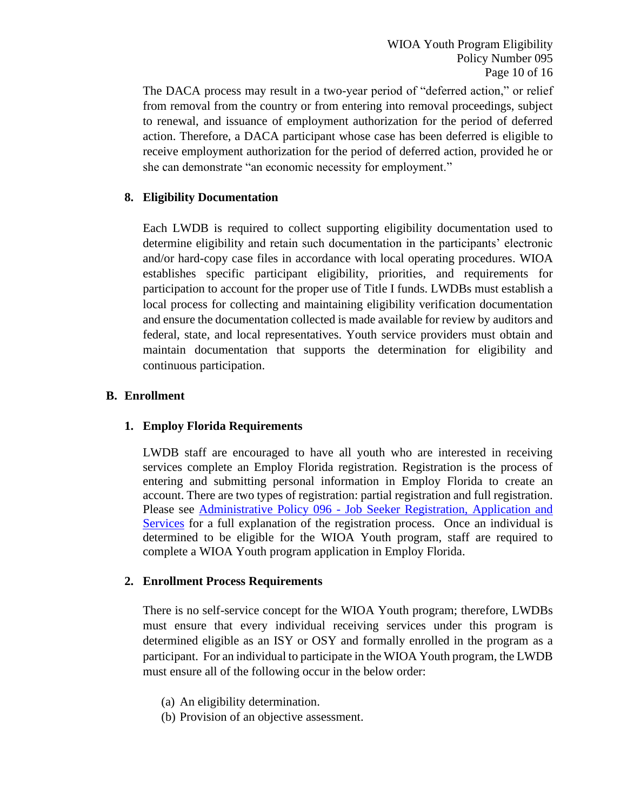The DACA process may result in a two-year period of "deferred action," or relief from removal from the country or from entering into removal proceedings, subject to renewal, and issuance of employment authorization for the period of deferred action. Therefore, a DACA participant whose case has been deferred is eligible to receive employment authorization for the period of deferred action, provided he or she can demonstrate "an economic necessity for employment."

## **8. Eligibility Documentation**

Each LWDB is required to collect supporting eligibility documentation used to determine eligibility and retain such documentation in the participants' electronic and/or hard-copy case files in accordance with local operating procedures. WIOA establishes specific participant eligibility, priorities, and requirements for participation to account for the proper use of Title I funds. LWDBs must establish a local process for collecting and maintaining eligibility verification documentation and ensure the documentation collected is made available for review by auditors and federal, state, and local representatives. Youth service providers must obtain and maintain documentation that supports the determination for eligibility and continuous participation.

## **B. Enrollment**

## **1. Employ Florida Requirements**

LWDB staff are encouraged to have all youth who are interested in receiving services complete an Employ Florida registration. Registration is the process of entering and submitting personal information in Employ Florida to create an account. There are two types of registration: partial registration and full registration. Please see Administrative Policy 096 - [Job Seeker Registration, Application and](http://floridajobs.org/docs/default-source/lwdb-resources/policy-and-guidance/guidance-papers/2021-guidance-papers/adminpolicy096_wp-job-seeker-regn-app-and-svcs---final-01072021.pdf?sfvrsn=c9b94db0_2)  [Services](http://floridajobs.org/docs/default-source/lwdb-resources/policy-and-guidance/guidance-papers/2021-guidance-papers/adminpolicy096_wp-job-seeker-regn-app-and-svcs---final-01072021.pdf?sfvrsn=c9b94db0_2) for a full explanation of the registration process. Once an individual is determined to be eligible for the WIOA Youth program, staff are required to complete a WIOA Youth program application in Employ Florida.

#### **2. Enrollment Process Requirements**

There is no self-service concept for the WIOA Youth program; therefore, LWDBs must ensure that every individual receiving services under this program is determined eligible as an ISY or OSY and formally enrolled in the program as a participant. For an individual to participate in the WIOA Youth program, the LWDB must ensure all of the following occur in the below order:

- (a) An eligibility determination.
- (b) Provision of an objective assessment.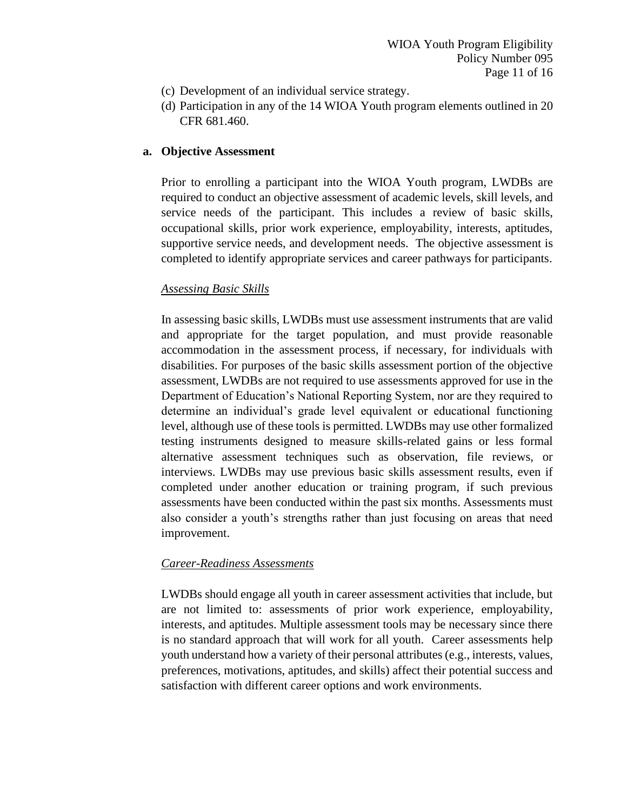- (c) Development of an individual service strategy.
- (d) Participation in any of the 14 WIOA Youth program elements outlined in 20 CFR 681.460.

### **a. Objective Assessment**

Prior to enrolling a participant into the WIOA Youth program, LWDBs are required to conduct an objective assessment of academic levels, skill levels, and service needs of the participant. This includes a review of basic skills, occupational skills, prior work experience, employability, interests, aptitudes, supportive service needs, and development needs. The objective assessment is completed to identify appropriate services and career pathways for participants.

#### *Assessing Basic Skills*

In assessing basic skills, LWDBs must use assessment instruments that are valid and appropriate for the target population, and must provide reasonable accommodation in the assessment process, if necessary, for individuals with disabilities. For purposes of the basic skills assessment portion of the objective assessment, LWDBs are not required to use assessments approved for use in the Department of Education's National Reporting System, nor are they required to determine an individual's grade level equivalent or educational functioning level, although use of these tools is permitted. LWDBs may use other formalized testing instruments designed to measure skills-related gains or less formal alternative assessment techniques such as observation, file reviews, or interviews. LWDBs may use previous basic skills assessment results, even if completed under another education or training program, if such previous assessments have been conducted within the past six months. Assessments must also consider a youth's strengths rather than just focusing on areas that need improvement.

## *Career-Readiness Assessments*

LWDBs should engage all youth in career assessment activities that include, but are not limited to: assessments of prior work experience, employability, interests, and aptitudes. Multiple assessment tools may be necessary since there is no standard approach that will work for all youth. Career assessments help youth understand how a variety of their personal attributes (e.g., interests, values, preferences, motivations, aptitudes, and skills) affect their potential success and satisfaction with different career options and work environments.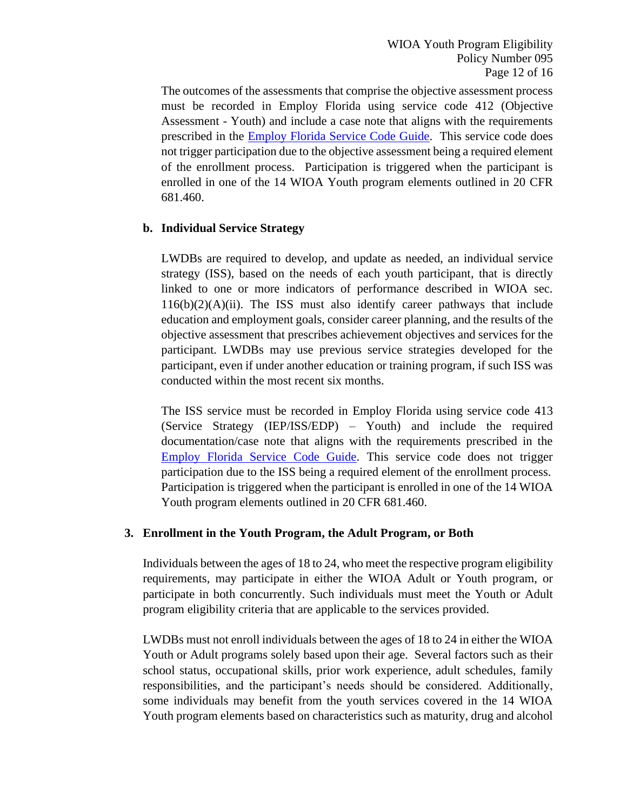The outcomes of the assessments that comprise the objective assessment process must be recorded in Employ Florida using service code 412 (Objective Assessment - Youth) and include a case note that aligns with the requirements prescribed in the [Employ Florida Service Code Guide.](http://floridajobs.org/local-workforce-development-board-resources/programs-and-resources/program-resources) This service code does not trigger participation due to the objective assessment being a required element of the enrollment process. Participation is triggered when the participant is enrolled in one of the 14 WIOA Youth program elements outlined in 20 CFR 681.460.

## **b. Individual Service Strategy**

LWDBs are required to develop, and update as needed, an individual service strategy (ISS), based on the needs of each youth participant, that is directly linked to one or more indicators of performance described in WIOA sec.  $116(b)(2)(A)(ii)$ . The ISS must also identify career pathways that include education and employment goals, consider career planning, and the results of the objective assessment that prescribes achievement objectives and services for the participant. LWDBs may use previous service strategies developed for the participant, even if under another education or training program, if such ISS was conducted within the most recent six months.

The ISS service must be recorded in Employ Florida using service code 413 (Service Strategy (IEP/ISS/EDP) – Youth) and include the required documentation/case note that aligns with the requirements prescribed in the [Employ Florida Service Code Guide.](http://floridajobs.org/local-workforce-development-board-resources/programs-and-resources/program-resources) This service code does not trigger participation due to the ISS being a required element of the enrollment process. Participation is triggered when the participant is enrolled in one of the 14 WIOA Youth program elements outlined in 20 CFR 681.460.

#### **3. Enrollment in the Youth Program, the Adult Program, or Both**

Individuals between the ages of 18 to 24, who meet the respective program eligibility requirements, may participate in either the WIOA Adult or Youth program, or participate in both concurrently. Such individuals must meet the Youth or Adult program eligibility criteria that are applicable to the services provided.

LWDBs must not enroll individuals between the ages of 18 to 24 in either the WIOA Youth or Adult programs solely based upon their age. Several factors such as their school status, occupational skills, prior work experience, adult schedules, family responsibilities, and the participant's needs should be considered. Additionally, some individuals may benefit from the youth services covered in the 14 WIOA Youth program elements based on characteristics such as maturity, drug and alcohol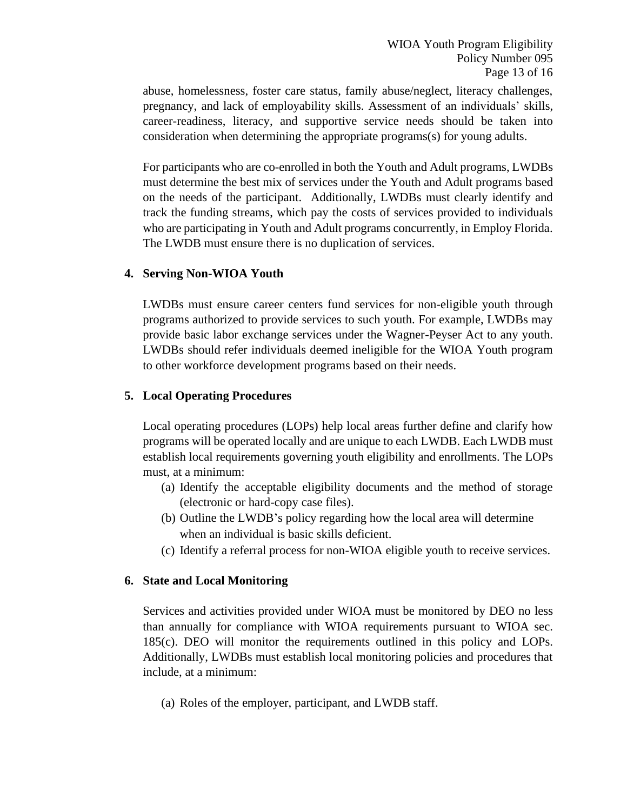abuse, homelessness, foster care status, family abuse/neglect, literacy challenges, pregnancy, and lack of employability skills. Assessment of an individuals' skills, career-readiness, literacy, and supportive service needs should be taken into consideration when determining the appropriate programs(s) for young adults.

For participants who are co-enrolled in both the Youth and Adult programs, LWDBs must determine the best mix of services under the Youth and Adult programs based on the needs of the participant. Additionally, LWDBs must clearly identify and track the funding streams, which pay the costs of services provided to individuals who are participating in Youth and Adult programs concurrently, in Employ Florida. The LWDB must ensure there is no duplication of services.

#### **4. Serving Non-WIOA Youth**

LWDBs must ensure career centers fund services for non-eligible youth through programs authorized to provide services to such youth. For example, LWDBs may provide basic labor exchange services under the Wagner-Peyser Act to any youth. LWDBs should refer individuals deemed ineligible for the WIOA Youth program to other workforce development programs based on their needs.

#### **5. Local Operating Procedures**

Local operating procedures (LOPs) help local areas further define and clarify how programs will be operated locally and are unique to each LWDB. Each LWDB must establish local requirements governing youth eligibility and enrollments. The LOPs must, at a minimum:

- (a) Identify the acceptable eligibility documents and the method of storage (electronic or hard-copy case files).
- (b) Outline the LWDB's policy regarding how the local area will determine when an individual is basic skills deficient.
- (c) Identify a referral process for non-WIOA eligible youth to receive services.

## **6. State and Local Monitoring**

Services and activities provided under WIOA must be monitored by DEO no less than annually for compliance with WIOA requirements pursuant to WIOA sec. 185(c). DEO will monitor the requirements outlined in this policy and LOPs. Additionally, LWDBs must establish local monitoring policies and procedures that include, at a minimum:

(a) Roles of the employer, participant, and LWDB staff.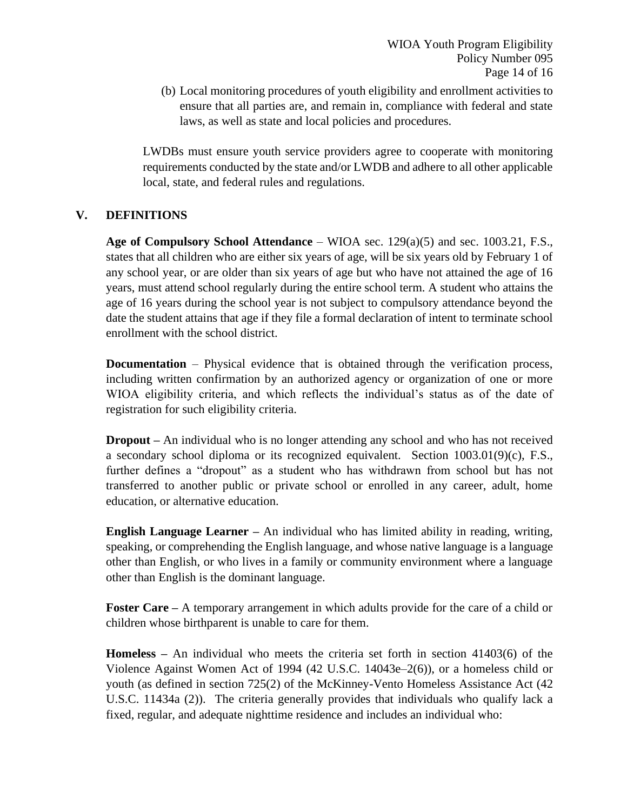(b) Local monitoring procedures of youth eligibility and enrollment activities to ensure that all parties are, and remain in, compliance with federal and state laws, as well as state and local policies and procedures.

LWDBs must ensure youth service providers agree to cooperate with monitoring requirements conducted by the state and/or LWDB and adhere to all other applicable local, state, and federal rules and regulations.

## **V. DEFINITIONS**

**Age of Compulsory School Attendance** – WIOA sec. 129(a)(5) and sec. 1003.21, F.S., states that all children who are either six years of age, will be six years old by February 1 of any school year, or are older than six years of age but who have not attained the age of 16 years, must attend school regularly during the entire school term. A student who attains the age of 16 years during the school year is not subject to compulsory attendance beyond the date the student attains that age if they file a formal declaration of intent to terminate school enrollment with the school district.

**Documentation** – Physical evidence that is obtained through the verification process, including written confirmation by an authorized agency or organization of one or more WIOA eligibility criteria, and which reflects the individual's status as of the date of registration for such eligibility criteria.

**Dropout –** An individual who is no longer attending any school and who has not received a secondary school diploma or its recognized equivalent. Section 1003.01(9)(c), F.S., further defines a "dropout" as a student who has withdrawn from school but has not transferred to another public or private school or enrolled in any career, adult, home education, or alternative education.

**English Language Learner –** An individual who has limited ability in reading, writing, speaking, or comprehending the English language, and whose native language is a language other than English, or who lives in a family or community environment where a language other than English is the dominant language.

**Foster Care –** A temporary arrangement in which adults provide for the care of a child or children whose birthparent is unable to care for them.

**Homeless –** An individual who meets the criteria set forth in section 41403(6) of the Violence Against Women Act of 1994 (42 U.S.C. 14043e–2(6)), or a homeless child or youth (as defined in section 725(2) of the McKinney-Vento Homeless Assistance Act (42 U.S.C. 11434a (2)). The criteria generally provides that individuals who qualify lack a fixed, regular, and adequate nighttime residence and includes an individual who: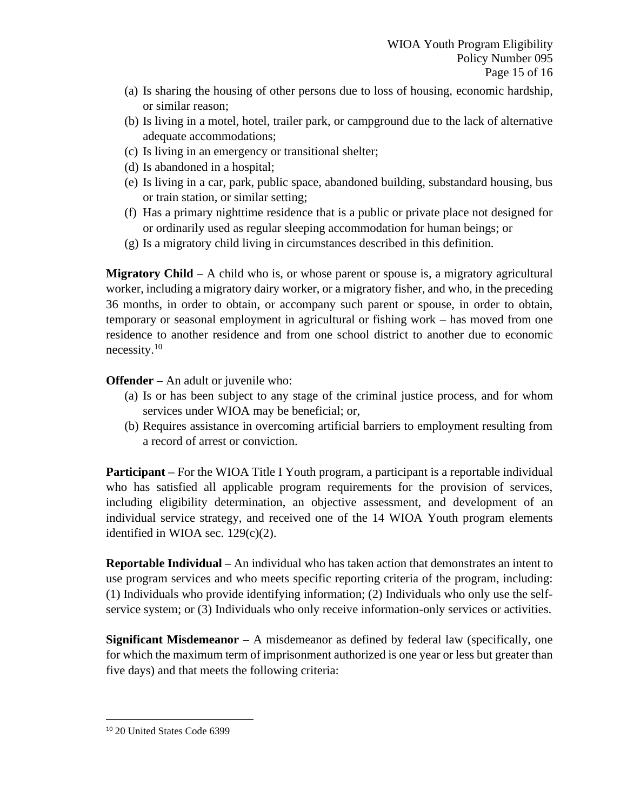- (a) Is sharing the housing of other persons due to loss of housing, economic hardship, or similar reason;
- (b) Is living in a motel, hotel, trailer park, or campground due to the lack of alternative adequate accommodations;
- (c) Is living in an emergency or transitional shelter;
- (d) Is abandoned in a hospital;
- (e) Is living in a car, park, public space, abandoned building, substandard housing, bus or train station, or similar setting;
- (f) Has a primary nighttime residence that is a public or private place not designed for or ordinarily used as regular sleeping accommodation for human beings; or
- (g) Is a migratory child living in circumstances described in this definition.

**Migratory Child** – A child who is, or whose parent or spouse is, a migratory agricultural worker, including a migratory dairy worker, or a migratory fisher, and who, in the preceding 36 months, in order to obtain, or accompany such parent or spouse, in order to obtain, temporary or seasonal employment in agricultural or fishing work – has moved from one residence to another residence and from one school district to another due to economic necessity.<sup>10</sup>

**Offender –** An adult or juvenile who:

- (a) Is or has been subject to any stage of the criminal justice process, and for whom services under WIOA may be beneficial; or,
- (b) Requires assistance in overcoming artificial barriers to employment resulting from a record of arrest or conviction.

**Participant** – For the WIOA Title I Youth program, a participant is a reportable individual who has satisfied all applicable program requirements for the provision of services, including eligibility determination, an objective assessment, and development of an individual service strategy, and received one of the 14 WIOA Youth program elements identified in WIOA sec.  $129(c)(2)$ .

**Reportable Individual –** An individual who has taken action that demonstrates an intent to use program services and who meets specific reporting criteria of the program, including: (1) Individuals who provide identifying information; (2) Individuals who only use the selfservice system; or (3) Individuals who only receive information-only services or activities.

**Significant Misdemeanor –** A misdemeanor as defined by federal law (specifically, one for which the maximum term of imprisonment authorized is one year or less but greater than five days) and that meets the following criteria:

<sup>10</sup> 20 United States Code 6399